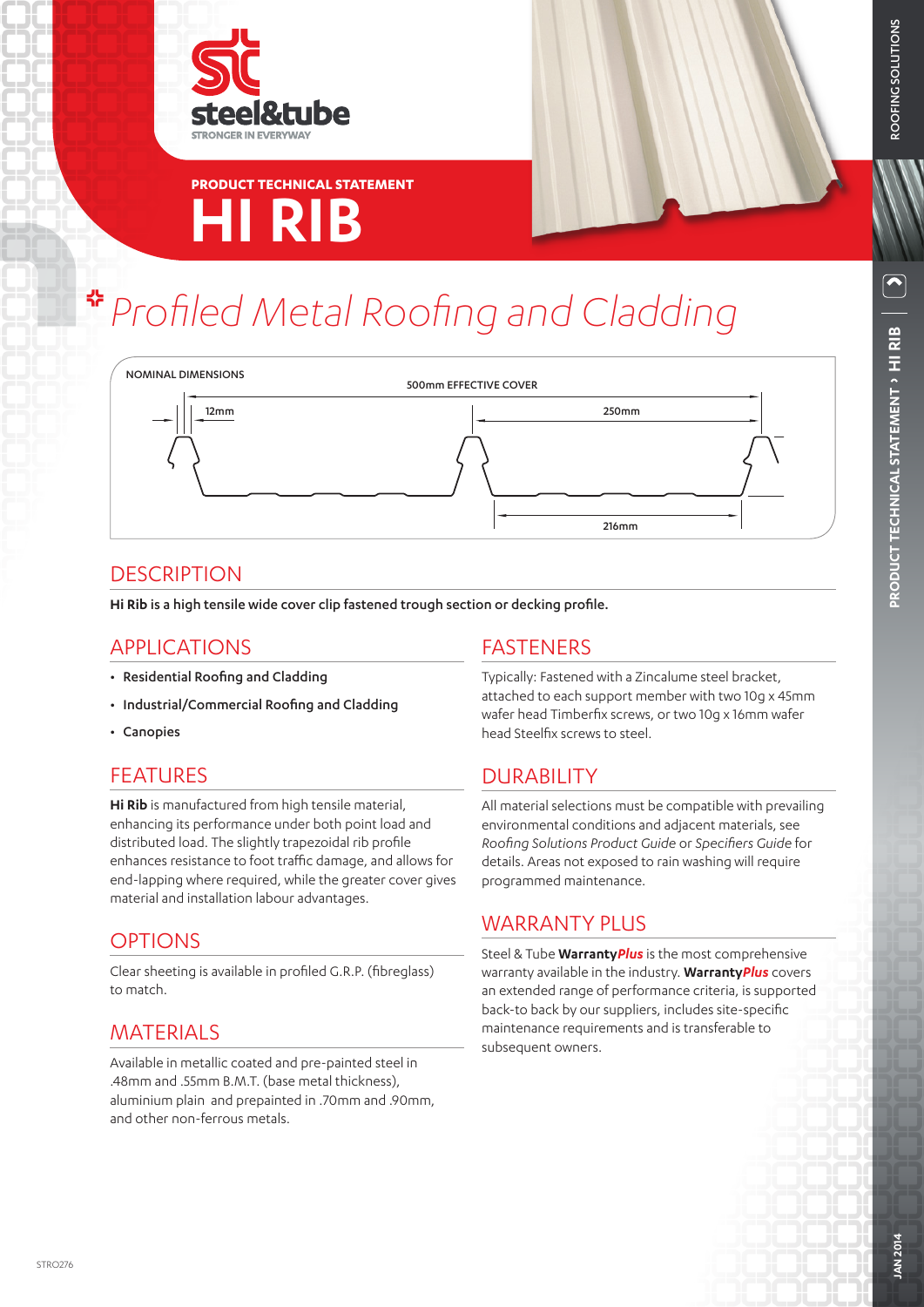



# *Profiled Metal Roofing and Cladding*



# **DESCRIPTION**

**Hi Rib** is a high tensile wide cover clip fastened trough section or decking profile.

## APPLICATIONS

- Residential Roofing and Cladding
- Industrial/Commercial Roofing and Cladding
- Canopies

# **FFATURES**

**Hi Rib** is manufactured from high tensile material, enhancing its performance under both point load and distributed load. The slightly trapezoidal rib profile enhances resistance to foot traffic damage, and allows for end-lapping where required, while the greater cover gives material and installation labour advantages.

## OPTIONS

Clear sheeting is available in profiled G.R.P. (fibreglass) to match.

# **MATERIALS**

Available in metallic coated and pre-painted steel in .48mm and .55mm B.M.T. (base metal thickness), aluminium plain and prepainted in .70mm and .90mm, and other non-ferrous metals.

#### FASTENERS

Typically: Fastened with a Zincalume steel bracket, attached to each support member with two 10g x 45mm wafer head Timberfix screws, or two 10g x 16mm wafer head Steelfix screws to steel.

# DURABILITY

All material selections must be compatible with prevailing environmental conditions and adjacent materials, see *Roofing Solutions Product Guide* or *Specifiers Guide* for details. Areas not exposed to rain washing will require programmed maintenance.

# WARRANTY PLUS

Steel & Tube **Warranty***Plus* is the most comprehensive warranty available in the industry. **Warranty***Plus* covers an extended range of performance criteria, is supported back-to back by our suppliers, includes site-specific maintenance requirements and is transferable to subsequent owners.